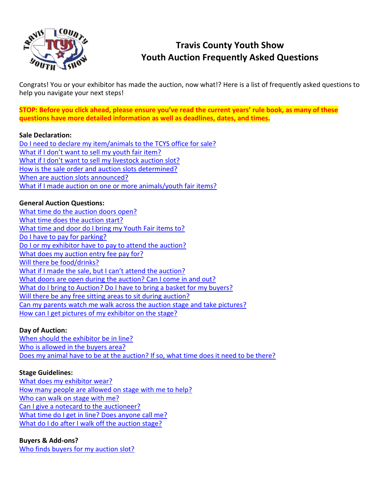

# **Travis County Youth Show Youth Auction Frequently Asked Questions**

Congrats! You or your exhibitor has made the auction, now what!? Here is a list of frequently asked questions to help you navigate your next steps!

**STOP: Before you click ahead, please ensure you've read the current years' rule book, as many of these questions have more detailed information as well as deadlines, dates, and times.**

#### **Sale Declaration:**

[Do I need to declare my item/animals to the TCYS office for sale?](#page-2-0) [What if I don't want to s](#page-2-1)ell my youth fair item? What if I don't want to sell [my livestock auction slot?](#page-2-2) [How is the sale order and auction slots determined?](#page-2-3) [When are auction slots announced?](#page-2-4) [What if I made auction on one or more animals/youth fair items?](#page-2-5)

#### **General Auction Questions:**

[What time do the auction doors open?](#page-2-6) [What time does the auction start?](#page-2-7) [What time and door do I bring my Youth Fair items to?](#page-2-8) [Do I have to pay for parking?](#page-2-9) [Do I or my exhibitor have to pay to attend the auction?](#page-2-10) [What does my auction entry](#page-2-11) fee pay for? [Will there be food/drinks?](#page-2-12) [What if I made the sale, but I can't](#page-3-0) attend the auction? [What doors are open during the auction? Can I come in and out?](#page-3-1) [What do I bring to Auction? Do I have to bring a basket for my buyers?](#page-3-2) [Will there be any free sitting areas to sit during auction?](#page-3-3) [Can my parents watch me walk across the auction stage and take pictures?](#page-3-4) [How can I get pictures](#page-3-5) of my exhibitor on the stage?

#### **Day of Auction:**

[When should the exhibitor be in line?](#page-3-6) [Who is allowed in the buyers area?](#page-3-7) [Does my animal have to be at the auction? If so, what time does it need to be there?](#page-3-8)

#### **Stage Guidelines:**

[What does my exhibitor wear?](#page-3-9) [How many people are allowed on stage with me to help?](#page-3-10) [Who can walk on stage with me?](#page-3-11) [Can I give a notecard to the auctioneer?](#page-3-12) What time do I get in [line? Does anyone call me?](#page-3-13) [What do I do after I walk off the auction stage?](#page-4-0)

**Buyers & Add-ons?** [Who finds buyers for my auction slot?](#page-4-1)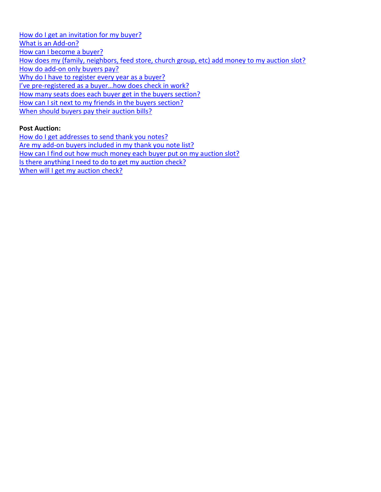[How do I get an invitation for my buyer?](#page-4-2) [What is an Add-on?](#page-4-3) [How can I become a buyer?](#page-4-4) [How does my \(family, neighbors, feed store, church group, etc\) add money to my auction slot?](#page-4-5) [How do add-on only buyers pay?](#page-4-6) [Why do I have to register every year as a buyer?](#page-4-7) I've pre-[registered as a buyer…how does check in work?](#page-4-8) [How many seats does each buyer get in the buyers section?](#page-4-9) [How can I sit next to my friends in the buyers section?](#page-4-10) [When should buyers pay](#page-4-11) their auction bills?

#### **Post Auction:**

[How do I get addresses to send thank you notes?](#page-5-0) [Are my add-on buyers included in my thank you note list?](#page-5-1) [How can I find out how much money each buyer put on my auction slot?](#page-5-2) [Is there anything I need to do to get my](#page-5-3) auction check? [When will I get my auction check?](#page-5-4)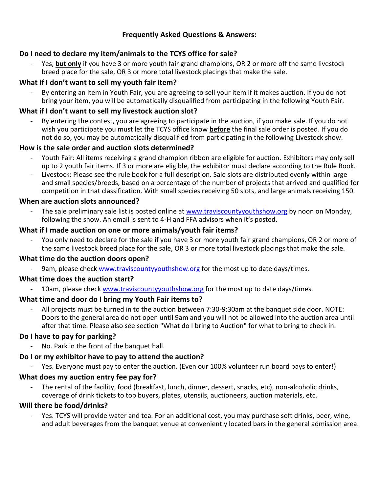# **Frequently Asked Questions & Answers:**

# <span id="page-2-0"></span>**Do I need to declare my item/animals to the TCYS office for sale?**

Yes, **but only** if you have 3 or more youth fair grand champions, OR 2 or more off the same livestock breed place for the sale, OR 3 or more total livestock placings that make the sale.

# <span id="page-2-1"></span>**What if I don't want to sell my youth fair item?**

By entering an item in Youth Fair, you are agreeing to sell your item if it makes auction. If you do not bring your item, you will be automatically disqualified from participating in the following Youth Fair.

# <span id="page-2-2"></span>**What if I don't want to sell my livestock auction slot?**

By entering the contest, you are agreeing to participate in the auction, if you make sale. If you do not wish you participate you must let the TCYS office know **before** the final sale order is posted. If you do not do so, you may be automatically disqualified from participating in the following Livestock show.

## <span id="page-2-3"></span>**How is the sale order and auction slots determined?**

- Youth Fair: All items receiving a grand champion ribbon are eligible for auction. Exhibitors may only sell up to 2 youth fair items. If 3 or more are eligible, the exhibitor must declare according to the Rule Book.
- Livestock: Please see the rule book for a full description. Sale slots are distributed evenly within large and small species/breeds, based on a percentage of the number of projects that arrived and qualified for competition in that classification. With small species receiving 50 slots, and large animals receiving 150.

#### <span id="page-2-4"></span>**When are auction slots announced?**

The sale preliminary sale list is posted online at [www.traviscountyyouthshow.org](http://www.traviscountyyouthshow.org/) by noon on Monday, following the show. An email is sent to 4-H and FFA advisors when it's posted.

## <span id="page-2-5"></span>**What if I made auction on one or more animals/youth fair items?**

You only need to declare for the sale if you have 3 or more youth fair grand champions, OR 2 or more of the same livestock breed place for the sale, OR 3 or more total livestock placings that make the sale.

#### <span id="page-2-6"></span>**What time do the auction doors open?**

9am, please check [www.traviscountyyouthshow.org](http://www.traviscountyyouthshow.org/) for the most up to date days/times.

#### <span id="page-2-7"></span>**What time does the auction start?**

10am, please check [www.traviscountyyouthshow.org](http://www.traviscountyyouthshow.org/) for the most up to date days/times.

# <span id="page-2-8"></span>**What time and door do I bring my Youth Fair items to?**

All projects must be turned in to the auction between 7:30-9:30am at the banquet side door. NOTE: Doors to the general area do not open until 9am and you will not be allowed into the auction area until after that time. Please also see section "What do I bring to Auction" for what to bring to check in.

#### <span id="page-2-9"></span>**Do I have to pay for parking?**

- No. Park in the front of the banquet hall.

#### <span id="page-2-10"></span>**Do I or my exhibitor have to pay to attend the auction?**

Yes. Everyone must pay to enter the auction. (Even our 100% volunteer run board pays to enter!)

#### <span id="page-2-11"></span>**What does my auction entry fee pay for?**

The rental of the facility, food (breakfast, lunch, dinner, dessert, snacks, etc), non-alcoholic drinks, coverage of drink tickets to top buyers, plates, utensils, auctioneers, auction materials, etc.

#### <span id="page-2-12"></span>**Will there be food/drinks?**

- Yes. TCYS will provide water and tea. For an additional cost, you may purchase soft drinks, beer, wine, and adult beverages from the banquet venue at conveniently located bars in the general admission area.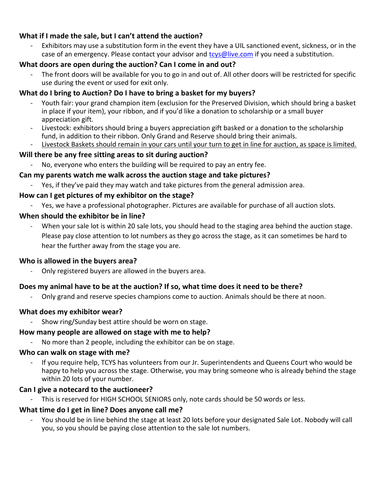# <span id="page-3-0"></span>**What if I made the sale, but I can't attend the auction?**

Exhibitors may use a substitution form in the event they have a UIL sanctioned event, sickness, or in the case of an emergency. Please contact your advisor and **tolla and trainers** if you need a substitution.

# <span id="page-3-1"></span>**What doors are open during the auction? Can I come in and out?**

The front doors will be available for you to go in and out of. All other doors will be restricted for specific use during the event or used for exit only.

# <span id="page-3-2"></span>**What do I bring to Auction? Do I have to bring a basket for my buyers?**

- Youth fair: your grand champion item (exclusion for the Preserved Division, which should bring a basket in place if your item), your ribbon, and if you'd like a donation to scholarship or a small buyer appreciation gift.
- Livestock: exhibitors should bring a buyers appreciation gift basked or a donation to the scholarship fund, in addition to their ribbon. Only Grand and Reserve should bring their animals.
- Livestock Baskets should remain in your cars until your turn to get in line for auction, as space is limited.

# <span id="page-3-3"></span>**Will there be any free sitting areas to sit during auction?**

No, everyone who enters the building will be required to pay an entry fee.

# <span id="page-3-4"></span>**Can my parents watch me walk across the auction stage and take pictures?**

- Yes, if they've paid they may watch and take pictures from the general admission area.

## <span id="page-3-5"></span>**How can I get pictures of my exhibitor on the stage?**

- Yes, we have a professional photographer. Pictures are available for purchase of all auction slots.

## <span id="page-3-6"></span>**When should the exhibitor be in line?**

When your sale lot is within 20 sale lots, you should head to the staging area behind the auction stage. Please pay close attention to lot numbers as they go across the stage, as it can sometimes be hard to hear the further away from the stage you are.

# <span id="page-3-7"></span>**Who is allowed in the buyers area?**

Only registered buyers are allowed in the buyers area.

# <span id="page-3-8"></span>**Does my animal have to be at the auction? If so, what time does it need to be there?**

Only grand and reserve species champions come to auction. Animals should be there at noon.

# <span id="page-3-9"></span>**What does my exhibitor wear?**

- Show ring/Sunday best attire should be worn on stage.

# <span id="page-3-10"></span>**How many people are allowed on stage with me to help?**

No more than 2 people, including the exhibitor can be on stage.

# <span id="page-3-11"></span>**Who can walk on stage with me?**

- If you require help, TCYS has volunteers from our Jr. Superintendents and Queens Court who would be happy to help you across the stage. Otherwise, you may bring someone who is already behind the stage within 20 lots of your number.

# <span id="page-3-12"></span>**Can I give a notecard to the auctioneer?**

This is reserved for HIGH SCHOOL SENIORS only, note cards should be 50 words or less.

# <span id="page-3-13"></span>**What time do I get in line? Does anyone call me?**

You should be in line behind the stage at least 20 lots before your designated Sale Lot. Nobody will call you, so you should be paying close attention to the sale lot numbers.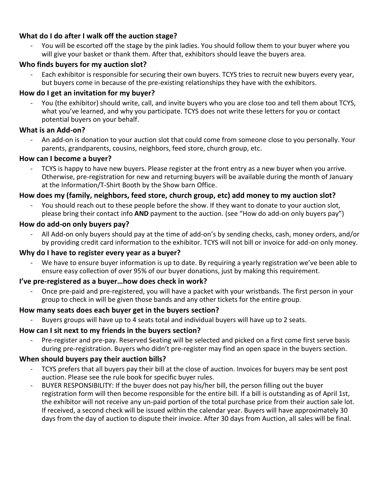# <span id="page-4-0"></span>**What do I do after I walk off the auction stage?**

You will be escorted off the stage by the pink ladies. You should follow them to your buyer where you will give your basket or thank them. After that, exhibitors should leave the buyers area.

## <span id="page-4-1"></span>**Who finds buyers for my auction slot?**

Each exhibitor is responsible for securing their own buyers. TCYS tries to recruit new buyers every year, but buyers come in because of the pre-existing relationships they have with the exhibitors.

## <span id="page-4-2"></span>**How do I get an invitation for my buyer?**

You (the exhibitor) should write, call, and invite buyers who you are close too and tell them about TCYS, what you've learned, and why you participate. TCYS does not write these letters for you or contact potential buyers on your behalf.

#### <span id="page-4-3"></span>**What is an Add-on?**

An add-on is donation to your auction slot that could come from someone close to you personally. Your parents, grandparents, cousins, neighbors, feed store, church group, etc.

## <span id="page-4-4"></span>**How can I become a buyer?**

- TCYS is happy to have new buyers. Please register at the front entry as a new buyer when you arrive. Otherwise, pre-registration for new and returning buyers will be available during the month of January at the Information/T-Shirt Booth by the Show barn Office.

## <span id="page-4-5"></span>**How does my (family, neighbors, feed store, church group, etc) add money to my auction slot?**

You should reach out to these people before the show. If they want to donate to your auction slot, please bring their contact info **AND** payment to the auction. (see "How do add-on only buyers pay")

#### <span id="page-4-6"></span>**How do add-on only buyers pay?**

All Add-on only buyers should pay at the time of add-on's by sending checks, cash, money orders, and/or by providing credit card information to the exhibitor. TCYS will not bill or invoice for add-on only money.

#### <span id="page-4-7"></span>**Why do I have to register every year as a buyer?**

We have to ensure buyer information is up to date. By requiring a yearly registration we've been able to ensure easy collection of over 95% of our buyer donations, just by making this requirement.

#### <span id="page-4-8"></span>**I've pre-registered as a buyer…how does check in work?**

- Once pre-paid and pre-registered, you will have a packet with your wristbands. The first person in your group to check in will be given those bands and any other tickets for the entire group.

#### <span id="page-4-9"></span>**How many seats does each buyer get in the buyers section?**

Buyers groups will have up to 4 seats total and individual buyers will have up to 2 seats.

# <span id="page-4-10"></span>**How can I sit next to my friends in the buyers section?**

Pre-register and pre-pay. Reserved Seating will be selected and picked on a first come first serve basis during pre-registration. Buyers who didn't pre-register may find an open space in the buyers section.

#### <span id="page-4-11"></span>**When should buyers pay their auction bills?**

- TCYS prefers that all buyers pay their bill at the close of auction. Invoices for buyers may be sent post auction. Please see the rule book for specific buyer rules.
- BUYER RESPONSIBILITY: If the buyer does not pay his/her bill, the person filling out the buyer registration form will then become responsible for the entire bill. If a bill is outstanding as of April 1st, the exhibitor will not receive any un-paid portion of the total purchase price from their auction sale lot. If received, a second check will be issued within the calendar year. Buyers will have approximately 30 days from the day of auction to dispute their invoice. After 30 days from Auction, all sales will be final.